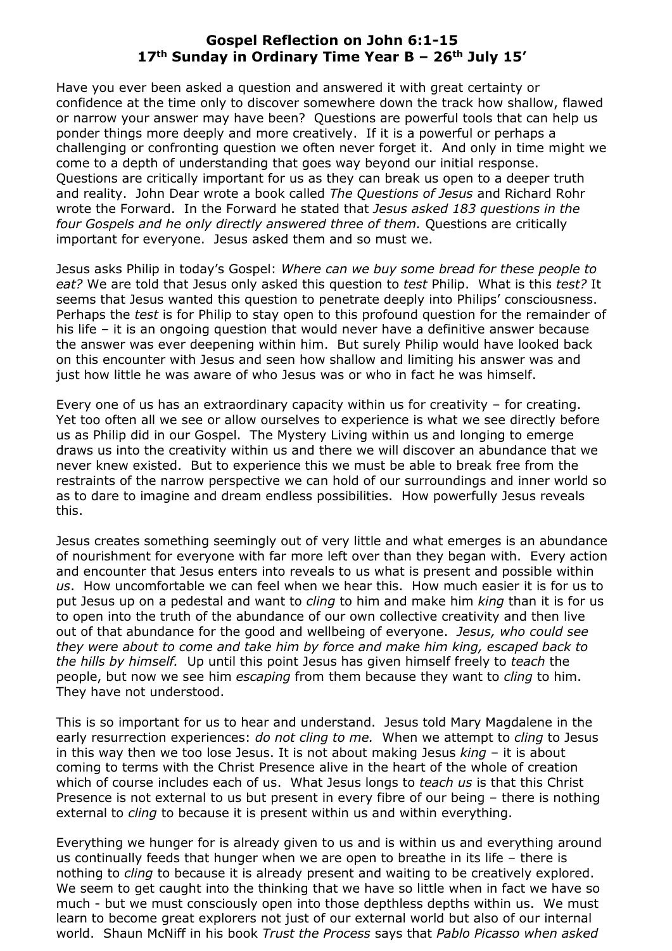## **Gospel Reflection on John 6:1-15 17th Sunday in Ordinary Time Year B – 26th July 15'**

Have you ever been asked a question and answered it with great certainty or confidence at the time only to discover somewhere down the track how shallow, flawed or narrow your answer may have been? Questions are powerful tools that can help us ponder things more deeply and more creatively. If it is a powerful or perhaps a challenging or confronting question we often never forget it. And only in time might we come to a depth of understanding that goes way beyond our initial response. Questions are critically important for us as they can break us open to a deeper truth and reality. John Dear wrote a book called *The Questions of Jesus* and Richard Rohr wrote the Forward. In the Forward he stated that *Jesus asked 183 questions in the four Gospels and he only directly answered three of them.* Questions are critically important for everyone. Jesus asked them and so must we.

Jesus asks Philip in today's Gospel: *Where can we buy some bread for these people to eat?* We are told that Jesus only asked this question to *test* Philip. What is this *test?* It seems that Jesus wanted this question to penetrate deeply into Philips' consciousness. Perhaps the *test* is for Philip to stay open to this profound question for the remainder of his life – it is an ongoing question that would never have a definitive answer because the answer was ever deepening within him. But surely Philip would have looked back on this encounter with Jesus and seen how shallow and limiting his answer was and just how little he was aware of who Jesus was or who in fact he was himself.

Every one of us has an extraordinary capacity within us for creativity – for creating. Yet too often all we see or allow ourselves to experience is what we see directly before us as Philip did in our Gospel. The Mystery Living within us and longing to emerge draws us into the creativity within us and there we will discover an abundance that we never knew existed. But to experience this we must be able to break free from the restraints of the narrow perspective we can hold of our surroundings and inner world so as to dare to imagine and dream endless possibilities. How powerfully Jesus reveals this.

Jesus creates something seemingly out of very little and what emerges is an abundance of nourishment for everyone with far more left over than they began with. Every action and encounter that Jesus enters into reveals to us what is present and possible within *us*. How uncomfortable we can feel when we hear this. How much easier it is for us to put Jesus up on a pedestal and want to *cling* to him and make him *king* than it is for us to open into the truth of the abundance of our own collective creativity and then live out of that abundance for the good and wellbeing of everyone. *Jesus, who could see they were about to come and take him by force and make him king, escaped back to the hills by himself.* Up until this point Jesus has given himself freely to *teach* the people, but now we see him *escaping* from them because they want to *cling* to him. They have not understood.

This is so important for us to hear and understand. Jesus told Mary Magdalene in the early resurrection experiences: *do not cling to me.* When we attempt to *cling* to Jesus in this way then we too lose Jesus. It is not about making Jesus *king* – it is about coming to terms with the Christ Presence alive in the heart of the whole of creation which of course includes each of us. What Jesus longs to *teach us* is that this Christ Presence is not external to us but present in every fibre of our being – there is nothing external to *cling* to because it is present within us and within everything.

Everything we hunger for is already given to us and is within us and everything around us continually feeds that hunger when we are open to breathe in its life – there is nothing to *cling* to because it is already present and waiting to be creatively explored. We seem to get caught into the thinking that we have so little when in fact we have so much - but we must consciously open into those depthless depths within us. We must learn to become great explorers not just of our external world but also of our internal world. Shaun McNiff in his book *Trust the Process* says that *Pablo Picasso when asked*